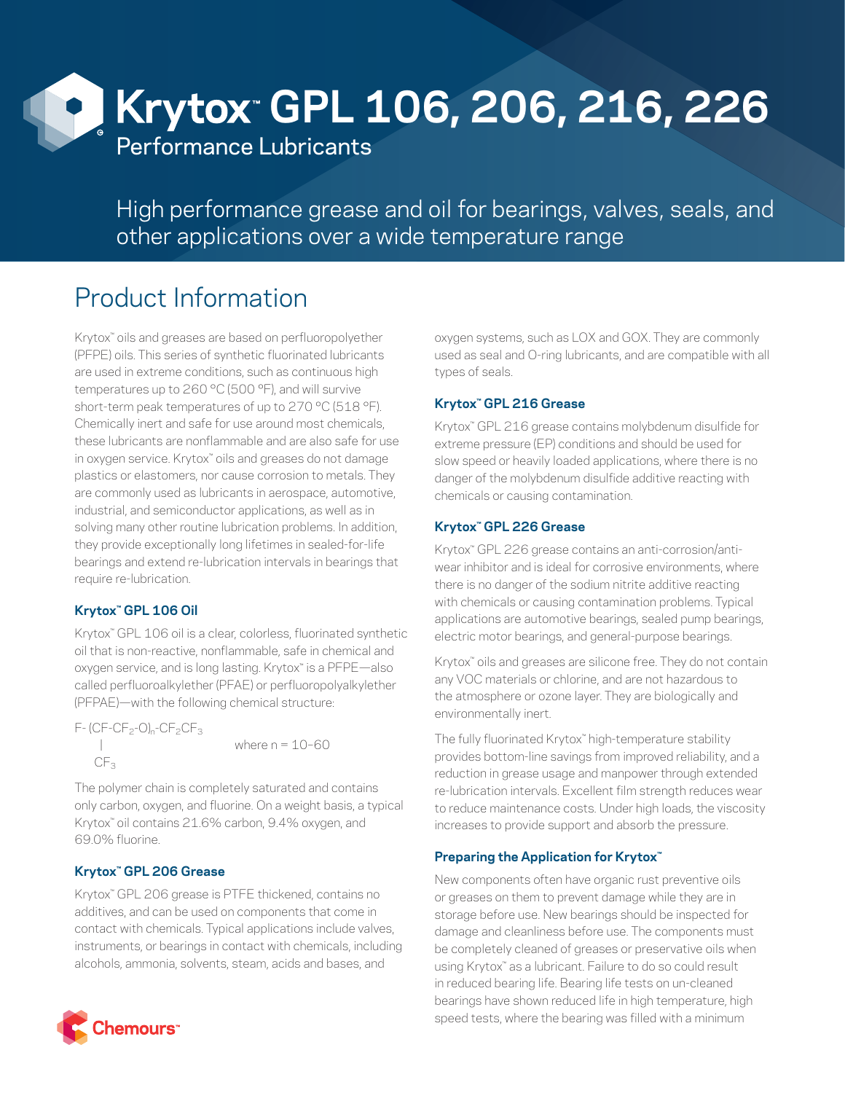

High performance grease and oil for bearings, valves, seals, and other applications over a wide temperature range

# Product Information

Krytox™ oils and greases are based on perfluoropolyether (PFPE) oils. This series of synthetic fluorinated lubricants are used in extreme conditions, such as continuous high temperatures up to 260 °C (500 °F), and will survive short-term peak temperatures of up to 270 °C (518 °F). Chemically inert and safe for use around most chemicals, these lubricants are nonflammable and are also safe for use in oxygen service. Krytox™ oils and greases do not damage plastics or elastomers, nor cause corrosion to metals. They are commonly used as lubricants in aerospace, automotive, industrial, and semiconductor applications, as well as in solving many other routine lubrication problems. In addition, they provide exceptionally long lifetimes in sealed-for-life bearings and extend re-lubrication intervals in bearings that require re-lubrication.

#### **Krytox™ GPL 106 Oil**

Krytox<sup>™</sup> GPL 106 oil is a clear, colorless, fluorinated synthetic oil that is non-reactive, nonflammable, safe in chemical and oxygen service, and is long lasting. Krytox™ is a PFPE—also called perfluoroalkylether (PFAE) or perfluoropolyalkylether (PFPAE)—with the following chemical structure:

 $F - (CF - CF - 0)$ <sub>n</sub>-CF<sub>2</sub>CF<sub>3</sub> where  $n = 10-60$  $CF<sub>3</sub>$ 

The polymer chain is completely saturated and contains only carbon, oxygen, and fluorine. On a weight basis, a typical Krytox™ oil contains 21.6% carbon, 9.4% oxygen, and 69.0% fluorine.

#### **Krytox™ GPL 206 Grease**

Krytox™ GPL 206 grease is PTFE thickened, contains no additives, and can be used on components that come in contact with chemicals. Typical applications include valves, instruments, or bearings in contact with chemicals, including alcohols, ammonia, solvents, steam, acids and bases, and



## **Krytox™ GPL 216 Grease**

Krytox<sup>™</sup> GPL 216 grease contains molybdenum disulfide for extreme pressure (EP) conditions and should be used for slow speed or heavily loaded applications, where there is no danger of the molybdenum disulfide additive reacting with chemicals or causing contamination.

## **Krytox™ GPL 226 Grease**

Krytox™ GPL 226 grease contains an anti-corrosion/antiwear inhibitor and is ideal for corrosive environments, where there is no danger of the sodium nitrite additive reacting with chemicals or causing contamination problems. Typical applications are automotive bearings, sealed pump bearings, electric motor bearings, and general-purpose bearings.

Krytox™ oils and greases are silicone free. They do not contain any VOC materials or chlorine, and are not hazardous to the atmosphere or ozone layer. They are biologically and environmentally inert.

The fully fluorinated Krytox™ high-temperature stability provides bottom-line savings from improved reliability, and a reduction in grease usage and manpower through extended re-lubrication intervals. Excellent film strength reduces wear to reduce maintenance costs. Under high loads, the viscosity increases to provide support and absorb the pressure.

#### **Preparing the Application for Krytox™**

New components often have organic rust preventive oils or greases on them to prevent damage while they are in storage before use. New bearings should be inspected for damage and cleanliness before use. The components must be completely cleaned of greases or preservative oils when using Krytox™ as a lubricant. Failure to do so could result in reduced bearing life. Bearing life tests on un-cleaned bearings have shown reduced life in high temperature, high speed tests, where the bearing was filled with a minimum